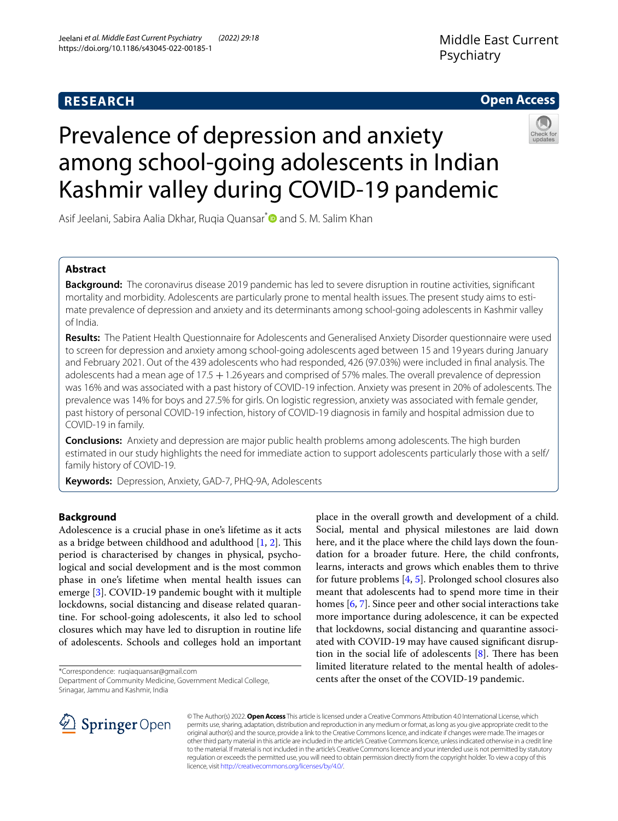# **RESEARCH**



# Prevalence of depression and anxiety among school-going adolescents in Indian Kashmir valley during COVID-19 pandemic

Asif Jeelani, Sabira Aalia Dkhar, Rugia Quansar<sup>[\\*](http://orcid.org/0000-0002-1043-4086)</sup> and S. M. Salim Khan

## **Abstract**

**Background:** The coronavirus disease 2019 pandemic has led to severe disruption in routine activities, signifcant mortality and morbidity. Adolescents are particularly prone to mental health issues. The present study aims to estimate prevalence of depression and anxiety and its determinants among school-going adolescents in Kashmir valley of India.

**Results:** The Patient Health Questionnaire for Adolescents and Generalised Anxiety Disorder questionnaire were used to screen for depression and anxiety among school-going adolescents aged between 15 and 19 years during January and February 2021. Out of the 439 adolescents who had responded, 426 (97.03%) were included in fnal analysis. The adolescents had a mean age of 17.5 +1.26 years and comprised of 57% males. The overall prevalence of depression was 16% and was associated with a past history of COVID-19 infection. Anxiety was present in 20% of adolescents. The prevalence was 14% for boys and 27.5% for girls. On logistic regression, anxiety was associated with female gender, past history of personal COVID-19 infection, history of COVID-19 diagnosis in family and hospital admission due to COVID-19 in family.

**Conclusions:** Anxiety and depression are major public health problems among adolescents. The high burden estimated in our study highlights the need for immediate action to support adolescents particularly those with a self/ family history of COVID-19.

**Keywords:** Depression, Anxiety, GAD-7, PHQ-9A, Adolescents

## **Background**

Adolescence is a crucial phase in one's lifetime as it acts as a bridge between childhood and adulthood  $[1, 2]$  $[1, 2]$  $[1, 2]$  $[1, 2]$ . This period is characterised by changes in physical, psychological and social development and is the most common phase in one's lifetime when mental health issues can emerge [\[3](#page-6-0)]. COVID-19 pandemic bought with it multiple lockdowns, social distancing and disease related quarantine. For school-going adolescents, it also led to school closures which may have led to disruption in routine life of adolescents. Schools and colleges hold an important

\*Correspondence: ruqiaquansar@gmail.com

Department of Community Medicine, Government Medical College, Srinagar, Jammu and Kashmir, India



place in the overall growth and development of a child. Social, mental and physical milestones are laid down here, and it the place where the child lays down the foundation for a broader future. Here, the child confronts, learns, interacts and grows which enables them to thrive for future problems [[4](#page-6-1), [5](#page-6-2)]. Prolonged school closures also meant that adolescents had to spend more time in their homes [\[6](#page-6-3), [7](#page-6-4)]. Since peer and other social interactions take more importance during adolescence, it can be expected that lockdowns, social distancing and quarantine associated with COVID-19 may have caused signifcant disruption in the social life of adolescents  $[8]$  $[8]$ . There has been limited literature related to the mental health of adolescents after the onset of the COVID-19 pandemic.

© The Author(s) 2022. **Open Access** This article is licensed under a Creative Commons Attribution 4.0 International License, which permits use, sharing, adaptation, distribution and reproduction in any medium or format, as long as you give appropriate credit to the original author(s) and the source, provide a link to the Creative Commons licence, and indicate if changes were made. The images or other third party material in this article are included in the article's Creative Commons licence, unless indicated otherwise in a credit line to the material. If material is not included in the article's Creative Commons licence and your intended use is not permitted by statutory regulation or exceeds the permitted use, you will need to obtain permission directly from the copyright holder. To view a copy of this licence, visit [http://creativecommons.org/licenses/by/4.0/.](http://creativecommons.org/licenses/by/4.0/)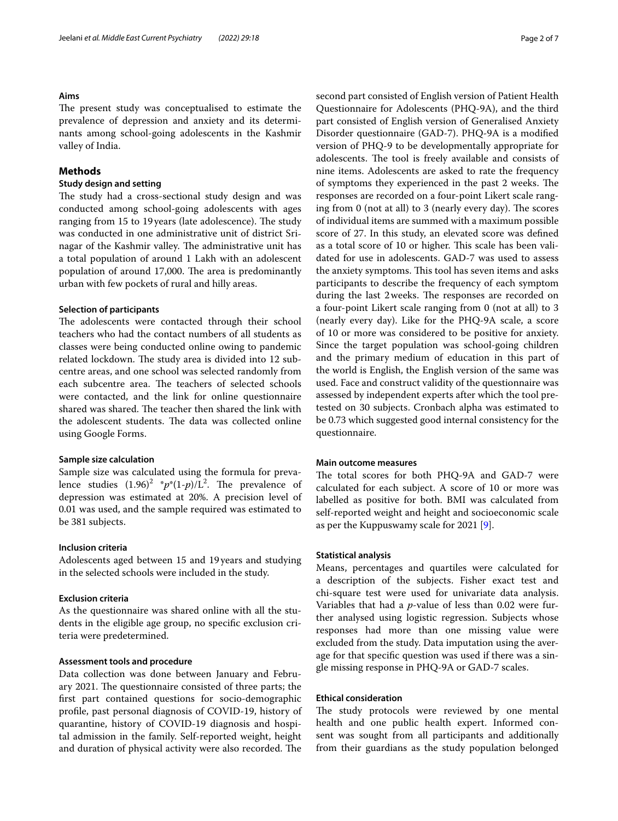#### **Aims**

## The present study was conceptualised to estimate the prevalence of depression and anxiety and its determinants among school-going adolescents in the Kashmir valley of India.

## **Methods**

### **Study design and setting**

The study had a cross-sectional study design and was conducted among school-going adolescents with ages ranging from 15 to 19 years (late adolescence). The study was conducted in one administrative unit of district Srinagar of the Kashmir valley. The administrative unit has a total population of around 1 Lakh with an adolescent population of around 17,000. The area is predominantly urban with few pockets of rural and hilly areas.

### **Selection of participants**

The adolescents were contacted through their school teachers who had the contact numbers of all students as classes were being conducted online owing to pandemic related lockdown. The study area is divided into 12 subcentre areas, and one school was selected randomly from each subcentre area. The teachers of selected schools were contacted, and the link for online questionnaire shared was shared. The teacher then shared the link with the adolescent students. The data was collected online using Google Forms.

#### **Sample size calculation**

Sample size was calculated using the formula for prevalence studies  $(1.96)^2$   $\binom{*}{2}$   $\binom{n}{-2}$  and  $\binom{n}{2}$  are prevalence of depression was estimated at 20%. A precision level of 0.01 was used, and the sample required was estimated to be 381 subjects.

## **Inclusion criteria**

Adolescents aged between 15 and 19 years and studying in the selected schools were included in the study.

#### **Exclusion criteria**

As the questionnaire was shared online with all the students in the eligible age group, no specifc exclusion criteria were predetermined.

## **Assessment tools and procedure**

Data collection was done between January and February 2021. The questionnaire consisted of three parts; the frst part contained questions for socio-demographic profle, past personal diagnosis of COVID-19, history of quarantine, history of COVID-19 diagnosis and hospital admission in the family. Self-reported weight, height and duration of physical activity were also recorded. The second part consisted of English version of Patient Health Questionnaire for Adolescents (PHQ-9A), and the third part consisted of English version of Generalised Anxiety Disorder questionnaire (GAD-7). PHQ-9A is a modifed version of PHQ-9 to be developmentally appropriate for adolescents. The tool is freely available and consists of nine items. Adolescents are asked to rate the frequency of symptoms they experienced in the past 2 weeks. The responses are recorded on a four-point Likert scale ranging from  $0$  (not at all) to  $3$  (nearly every day). The scores of individual items are summed with a maximum possible score of 27. In this study, an elevated score was defned as a total score of 10 or higher. This scale has been validated for use in adolescents. GAD-7 was used to assess the anxiety symptoms. This tool has seven items and asks participants to describe the frequency of each symptom during the last 2 weeks. The responses are recorded on a four-point Likert scale ranging from 0 (not at all) to 3 (nearly every day). Like for the PHQ-9A scale, a score of 10 or more was considered to be positive for anxiety. Since the target population was school-going children and the primary medium of education in this part of the world is English, the English version of the same was used. Face and construct validity of the questionnaire was assessed by independent experts after which the tool pretested on 30 subjects. Cronbach alpha was estimated to be 0.73 which suggested good internal consistency for the questionnaire.

## **Main outcome measures**

The total scores for both PHQ-9A and GAD-7 were calculated for each subject. A score of 10 or more was labelled as positive for both. BMI was calculated from self-reported weight and height and socioeconomic scale as per the Kuppuswamy scale for 2021 [\[9\]](#page-6-6).

#### **Statistical analysis**

Means, percentages and quartiles were calculated for a description of the subjects. Fisher exact test and chi-square test were used for univariate data analysis. Variables that had a *p*-value of less than 0.02 were further analysed using logistic regression. Subjects whose responses had more than one missing value were excluded from the study. Data imputation using the average for that specifc question was used if there was a single missing response in PHQ-9A or GAD-7 scales.

#### **Ethical consideration**

The study protocols were reviewed by one mental health and one public health expert. Informed consent was sought from all participants and additionally from their guardians as the study population belonged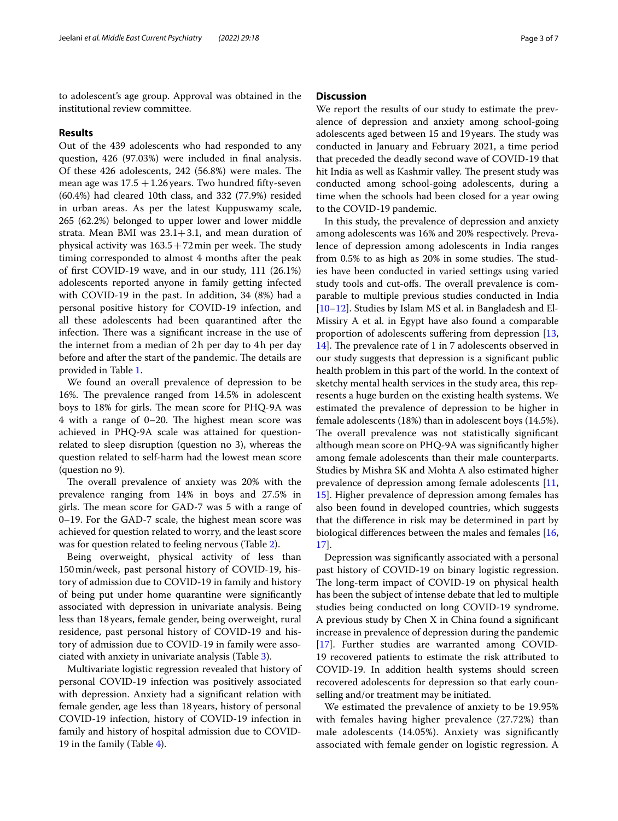to adolescent's age group. Approval was obtained in the institutional review committee.

#### **Results**

Out of the 439 adolescents who had responded to any question, 426 (97.03%) were included in fnal analysis. Of these  $426$  adolescents,  $242$   $(56.8%)$  were males. The mean age was  $17.5 + 1.26$  years. Two hundred fifty-seven (60.4%) had cleared 10th class, and 332 (77.9%) resided in urban areas. As per the latest Kuppuswamy scale, 265 (62.2%) belonged to upper lower and lower middle strata. Mean BMI was 23.1+3.1, and mean duration of physical activity was  $163.5+72$  min per week. The study timing corresponded to almost 4 months after the peak of frst COVID-19 wave, and in our study, 111 (26.1%) adolescents reported anyone in family getting infected with COVID-19 in the past. In addition, 34 (8%) had a personal positive history for COVID-19 infection, and all these adolescents had been quarantined after the infection. There was a significant increase in the use of the internet from a median of 2h per day to 4h per day before and after the start of the pandemic. The details are provided in Table [1](#page-3-0).

We found an overall prevalence of depression to be 16%. The prevalence ranged from 14.5% in adolescent boys to 18% for girls. The mean score for PHQ-9A was 4 with a range of  $0-20$ . The highest mean score was achieved in PHQ-9A scale was attained for questionrelated to sleep disruption (question no 3), whereas the question related to self-harm had the lowest mean score (question no 9).

The overall prevalence of anxiety was 20% with the prevalence ranging from 14% in boys and 27.5% in girls. The mean score for GAD-7 was 5 with a range of 0–19. For the GAD-7 scale, the highest mean score was achieved for question related to worry, and the least score was for question related to feeling nervous (Table [2\)](#page-3-1).

Being overweight, physical activity of less than 150min/week, past personal history of COVID-19, history of admission due to COVID-19 in family and history of being put under home quarantine were signifcantly associated with depression in univariate analysis. Being less than 18years, female gender, being overweight, rural residence, past personal history of COVID-19 and history of admission due to COVID-19 in family were associated with anxiety in univariate analysis (Table [3\)](#page-4-0).

Multivariate logistic regression revealed that history of personal COVID-19 infection was positively associated with depression. Anxiety had a signifcant relation with female gender, age less than 18years, history of personal COVID-19 infection, history of COVID-19 infection in family and history of hospital admission due to COVID-19 in the family (Table [4](#page-5-2)).

### **Discussion**

We report the results of our study to estimate the prevalence of depression and anxiety among school-going adolescents aged between 15 and 19 years. The study was conducted in January and February 2021, a time period that preceded the deadly second wave of COVID-19 that hit India as well as Kashmir valley. The present study was conducted among school-going adolescents, during a time when the schools had been closed for a year owing to the COVID-19 pandemic.

In this study, the prevalence of depression and anxiety among adolescents was 16% and 20% respectively. Prevalence of depression among adolescents in India ranges from  $0.5\%$  to as high as  $20\%$  in some studies. The studies have been conducted in varied settings using varied study tools and cut-offs. The overall prevalence is comparable to multiple previous studies conducted in India [[10–](#page-6-7)[12\]](#page-6-8). Studies by Islam MS et al. in Bangladesh and El-Missiry A et al. in Egypt have also found a comparable proportion of adolescents sufering from depression [[13](#page-6-9), [14\]](#page-6-10). The prevalence rate of 1 in 7 adolescents observed in our study suggests that depression is a signifcant public health problem in this part of the world. In the context of sketchy mental health services in the study area, this represents a huge burden on the existing health systems. We estimated the prevalence of depression to be higher in female adolescents (18%) than in adolescent boys (14.5%). The overall prevalence was not statistically significant although mean score on PHQ-9A was signifcantly higher among female adolescents than their male counterparts. Studies by Mishra SK and Mohta A also estimated higher prevalence of depression among female adolescents [[11](#page-6-11), [15\]](#page-6-12). Higher prevalence of depression among females has also been found in developed countries, which suggests that the diference in risk may be determined in part by biological diferences between the males and females [[16](#page-6-13), [17\]](#page-6-14).

Depression was signifcantly associated with a personal past history of COVID-19 on binary logistic regression. The long-term impact of COVID-19 on physical health has been the subject of intense debate that led to multiple studies being conducted on long COVID-19 syndrome. A previous study by Chen X in China found a signifcant increase in prevalence of depression during the pandemic [[17\]](#page-6-14). Further studies are warranted among COVID-19 recovered patients to estimate the risk attributed to COVID-19. In addition health systems should screen recovered adolescents for depression so that early counselling and/or treatment may be initiated.

We estimated the prevalence of anxiety to be 19.95% with females having higher prevalence (27.72%) than male adolescents (14.05%). Anxiety was signifcantly associated with female gender on logistic regression. A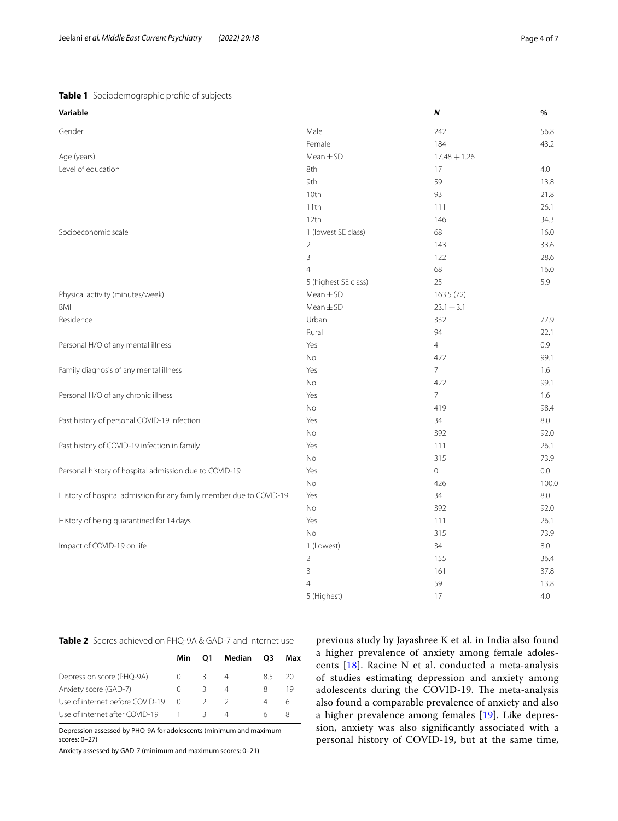## <span id="page-3-0"></span>**Table 1** Sociodemographic profle of subjects

| Variable                                                            |                      | N              | %     |
|---------------------------------------------------------------------|----------------------|----------------|-------|
| Gender                                                              | Male                 | 242            | 56.8  |
|                                                                     | Female               | 184            | 43.2  |
| Age (years)                                                         | $Mean \pm SD$        | $17.48 + 1.26$ |       |
| Level of education                                                  | 8th                  | 17             | 4.0   |
|                                                                     | 9th                  | 59             | 13.8  |
|                                                                     | 10th                 | 93             | 21.8  |
|                                                                     | 11th                 | 111            | 26.1  |
|                                                                     | 12th                 | 146            | 34.3  |
| Socioeconomic scale                                                 | 1 (lowest SE class)  | 68             | 16.0  |
|                                                                     | $\overline{2}$       | 143            | 33.6  |
|                                                                     | 3                    | 122            | 28.6  |
|                                                                     | $\overline{4}$       | 68             | 16.0  |
|                                                                     | 5 (highest SE class) | 25             | 5.9   |
| Physical activity (minutes/week)                                    | $Mean \pm SD$        | 163.5 (72)     |       |
| BMI                                                                 | $Mean \pm SD$        | $23.1 + 3.1$   |       |
| Residence                                                           | Urban                | 332            | 77.9  |
|                                                                     | Rural                | 94             | 22.1  |
| Personal H/O of any mental illness                                  | Yes                  | $\overline{4}$ | 0.9   |
|                                                                     | No                   | 422            | 99.1  |
| Family diagnosis of any mental illness                              | Yes                  | $\overline{7}$ | 1.6   |
|                                                                     | No                   | 422            | 99.1  |
| Personal H/O of any chronic illness                                 | Yes                  | $\overline{7}$ | 1.6   |
|                                                                     | No                   | 419            | 98.4  |
| Past history of personal COVID-19 infection                         | Yes                  | 34             | 8.0   |
|                                                                     | No                   | 392            | 92.0  |
| Past history of COVID-19 infection in family                        | Yes                  | 111            | 26.1  |
|                                                                     | No                   | 315            | 73.9  |
| Personal history of hospital admission due to COVID-19              | Yes                  | $\overline{0}$ | 0.0   |
|                                                                     | No                   | 426            | 100.0 |
| History of hospital admission for any family member due to COVID-19 | Yes                  | 34             | 8.0   |
|                                                                     | No                   | 392            | 92.0  |
| History of being quarantined for 14 days                            | Yes                  | 111            | 26.1  |
|                                                                     | No                   | 315            | 73.9  |
| Impact of COVID-19 on life                                          | 1 (Lowest)           | 34             | 8.0   |
|                                                                     | $\overline{2}$       | 155            | 36.4  |
|                                                                     | 3                    | 161            | 37.8  |
|                                                                     | $\overline{4}$       | 59             | 13.8  |
|                                                                     | 5 (Highest)          | 17             | 4.0   |

## <span id="page-3-1"></span>**Table 2** Scores achieved on PHQ-9A & GAD-7 and internet use

|                                 | Min      | Ω1 | Median | O3 | Max |
|---------------------------------|----------|----|--------|----|-----|
| Depression score (PHQ-9A)       |          |    |        | 85 | 20  |
| Anxiety score (GAD-7)           | $^{(1)}$ |    |        | 8  | 19  |
| Use of internet before COVID-19 |          |    |        |    | h   |
| Use of internet after COVID-19  |          |    |        | h  |     |

Depression assessed by PHQ-9A for adolescents (minimum and maximum scores: 0–27)

Anxiety assessed by GAD-7 (minimum and maximum scores: 0–21)

previous study by Jayashree K et al. in India also found a higher prevalence of anxiety among female adolescents  $[18]$  $[18]$ . Racine N et al. conducted a meta-analysis of studies estimating depression and anxiety among adolescents during the COVID-19. The meta-analysis also found a comparable prevalence of anxiety and also a higher prevalence among females [\[19](#page-6-16)]. Like depression, anxiety was also signifcantly associated with a personal history of COVID-19, but at the same time,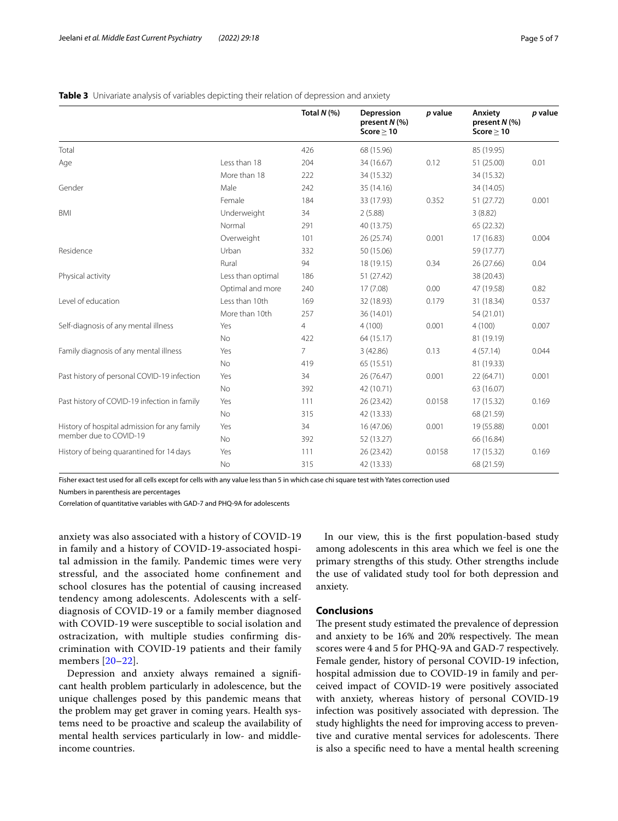|                                              |                   | Total $N$ (%)  | Depression<br>present N (%)<br>Score > 10 | p value | Anxiety<br>present N (%)<br>Score > 10 | p value |
|----------------------------------------------|-------------------|----------------|-------------------------------------------|---------|----------------------------------------|---------|
| Total                                        |                   | 426            | 68 (15.96)                                |         | 85 (19.95)                             |         |
| Age                                          | Less than 18      | 204            | 34 (16.67)                                | 0.12    | 51 (25.00)                             | 0.01    |
|                                              | More than 18      | 222            | 34 (15.32)                                |         | 34 (15.32)                             |         |
| Gender                                       | Male              | 242            | 35 (14.16)                                |         | 34 (14.05)                             |         |
|                                              | Female            | 184            | 33 (17.93)                                | 0.352   | 51 (27.72)                             | 0.001   |
| <b>BMI</b>                                   | Underweight       | 34             | 2(5.88)                                   |         | 3(8.82)                                |         |
|                                              | Normal            | 291            | 40 (13.75)                                |         | 65 (22.32)                             |         |
|                                              | Overweight        | 101            | 26(25.74)                                 | 0.001   | 17 (16.83)                             | 0.004   |
| Residence                                    | Urban             | 332            | 50 (15.06)                                |         | 59 (17.77)                             |         |
|                                              | Rural             | 94             | 18 (19.15)                                | 0.34    | 26(27.66)                              | 0.04    |
| Physical activity                            | Less than optimal | 186            | 51 (27.42)                                |         | 38 (20.43)                             |         |
|                                              | Optimal and more  | 240            | 17 (7.08)                                 | 0.00    | 47 (19.58)                             | 0.82    |
| Level of education                           | Less than 10th    | 169            | 32 (18.93)                                | 0.179   | 31 (18.34)                             | 0.537   |
|                                              | More than 10th    | 257            | 36 (14.01)                                |         | 54 (21.01)                             |         |
| Self-diagnosis of any mental illness         | Yes               | $\overline{4}$ | 4(100)                                    | 0.001   | 4(100)                                 | 0.007   |
|                                              | No                | 422            | 64 (15.17)                                |         | 81 (19.19)                             |         |
| Family diagnosis of any mental illness       | Yes               | $\overline{7}$ | 3(42.86)                                  | 0.13    | 4(57.14)                               | 0.044   |
|                                              | <b>No</b>         | 419            | 65 (15.51)                                |         | 81 (19.33)                             |         |
| Past history of personal COVID-19 infection  | Yes               | 34             | 26 (76.47)                                | 0.001   | 22 (64.71)                             | 0.001   |
|                                              | <b>No</b>         | 392            | 42 (10.71)                                |         | 63 (16.07)                             |         |
| Past history of COVID-19 infection in family | Yes               | 111            | 26 (23.42)                                | 0.0158  | 17 (15.32)                             | 0.169   |
|                                              | No                | 315            | 42 (13.33)                                |         | 68 (21.59)                             |         |
| History of hospital admission for any family | Yes               | 34             | 16 (47.06)                                | 0.001   | 19 (55.88)                             | 0.001   |
| member due to COVID-19                       | No                | 392            | 52 (13.27)                                |         | 66 (16.84)                             |         |
| History of being quarantined for 14 days     | Yes               | 111            | 26 (23.42)                                | 0.0158  | 17 (15.32)                             | 0.169   |
|                                              | <b>No</b>         | 315            | 42 (13.33)                                |         | 68 (21.59)                             |         |

## <span id="page-4-0"></span>**Table 3** Univariate analysis of variables depicting their relation of depression and anxiety

Fisher exact test used for all cells except for cells with any value less than 5 in which case chi square test with Yates correction used

Numbers in parenthesis are percentages

Correlation of quantitative variables with GAD-7 and PHQ-9A for adolescents

anxiety was also associated with a history of COVID-19 in family and a history of COVID-19-associated hospital admission in the family. Pandemic times were very stressful, and the associated home confnement and school closures has the potential of causing increased tendency among adolescents. Adolescents with a selfdiagnosis of COVID-19 or a family member diagnosed with COVID-19 were susceptible to social isolation and ostracization, with multiple studies confrming discrimination with COVID-19 patients and their family members [[20–](#page-6-17)[22\]](#page-6-18).

Depression and anxiety always remained a signifcant health problem particularly in adolescence, but the unique challenges posed by this pandemic means that the problem may get graver in coming years. Health systems need to be proactive and scaleup the availability of mental health services particularly in low- and middleincome countries.

In our view, this is the frst population-based study among adolescents in this area which we feel is one the primary strengths of this study. Other strengths include the use of validated study tool for both depression and anxiety.

#### **Conclusions**

The present study estimated the prevalence of depression and anxiety to be 16% and 20% respectively. The mean scores were 4 and 5 for PHQ-9A and GAD-7 respectively. Female gender, history of personal COVID-19 infection, hospital admission due to COVID-19 in family and perceived impact of COVID-19 were positively associated with anxiety, whereas history of personal COVID-19 infection was positively associated with depression. The study highlights the need for improving access to preventive and curative mental services for adolescents. There is also a specifc need to have a mental health screening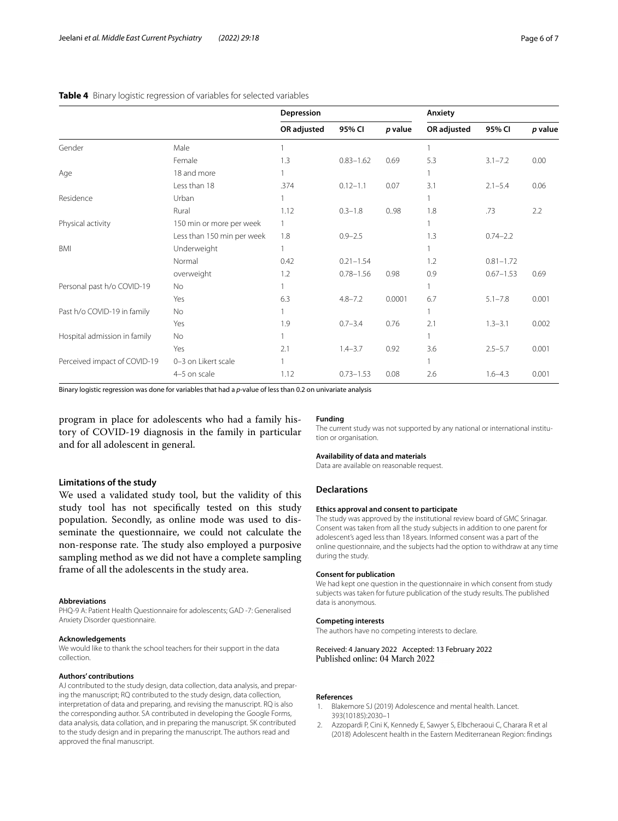#### <span id="page-5-2"></span>**Table 4** Binary logistic regression of variables for selected variables

|                              |                            | Depression  |               |         | Anxiety     |               |         |
|------------------------------|----------------------------|-------------|---------------|---------|-------------|---------------|---------|
|                              |                            | OR adjusted | 95% CI        | p value | OR adjusted | 95% CI        | p value |
| Gender                       | Male                       |             |               |         | 1           |               |         |
|                              | Female                     | 1.3         | $0.83 - 1.62$ | 0.69    | 5.3         | $3.1 - 7.2$   | 0.00    |
| Age                          | 18 and more                |             |               |         |             |               |         |
|                              | Less than 18               | .374        | $0.12 - 1.1$  | 0.07    | 3.1         | $2.1 - 5.4$   | 0.06    |
| Residence                    | Urban                      |             |               |         |             |               |         |
|                              | Rural                      | 1.12        | $0.3 - 1.8$   | 0.98    | 1.8         | .73           | 2.2     |
| Physical activity            | 150 min or more per week   | 1           |               |         |             |               |         |
|                              | Less than 150 min per week | 1.8         | $0.9 - 2.5$   |         | 1.3         | $0.74 - 2.2$  |         |
| <b>BMI</b>                   | Underweight                |             |               |         |             |               |         |
|                              | Normal                     | 0.42        | $0.21 - 1.54$ |         | 1.2         | $0.81 - 1.72$ |         |
|                              | overweight                 | 1.2         | $0.78 - 1.56$ | 0.98    | 0.9         | $0.67 - 1.53$ | 0.69    |
| Personal past h/o COVID-19   | No                         |             |               |         |             |               |         |
|                              | Yes                        | 6.3         | $4.8 - 7.2$   | 0.0001  | 6.7         | $5.1 - 7.8$   | 0.001   |
| Past h/o COVID-19 in family  | <b>No</b>                  |             |               |         | 1           |               |         |
|                              | Yes                        | 1.9         | $0.7 - 3.4$   | 0.76    | 2.1         | $1.3 - 3.1$   | 0.002   |
| Hospital admission in family | <b>No</b>                  |             |               |         |             |               |         |
|                              | Yes                        | 2.1         | $1.4 - 3.7$   | 0.92    | 3.6         | $2.5 - 5.7$   | 0.001   |
| Perceived impact of COVID-19 | 0-3 on Likert scale        |             |               |         |             |               |         |
|                              | 4-5 on scale               | 1.12        | $0.73 - 1.53$ | 0.08    | 2.6         | $1.6 - 4.3$   | 0.001   |

Binary logistic regression was done for variables that had a *p*-value of less than 0.2 on univariate analysis

program in place for adolescents who had a family history of COVID-19 diagnosis in the family in particular and for all adolescent in general.

#### **Limitations of the study**

We used a validated study tool, but the validity of this study tool has not specifcally tested on this study population. Secondly, as online mode was used to disseminate the questionnaire, we could not calculate the non-response rate. The study also employed a purposive sampling method as we did not have a complete sampling frame of all the adolescents in the study area.

#### **Abbreviations**

PHQ-9 A: Patient Health Questionnaire for adolescents; GAD -7: Generalised Anxiety Disorder questionnaire.

#### **Acknowledgements**

We would like to thank the school teachers for their support in the data collection.

#### **Authors' contributions**

AJ contributed to the study design, data collection, data analysis, and preparing the manuscript; RQ contributed to the study design, data collection, interpretation of data and preparing, and revising the manuscript. RQ is also the corresponding author. SA contributed in developing the Google Forms, data analysis, data collation, and in preparing the manuscript. SK contributed to the study design and in preparing the manuscript. The authors read and approved the fnal manuscript.

#### **Funding**

The current study was not supported by any national or international institution or organisation.

#### **Availability of data and materials**

Data are available on reasonable request.

#### **Declarations**

#### **Ethics approval and consent to participate**

The study was approved by the institutional review board of GMC Srinagar. Consent was taken from all the study subjects in addition to one parent for adolescent's aged less than 18 years. Informed consent was a part of the online questionnaire, and the subjects had the option to withdraw at any time during the study.

#### **Consent for publication**

We had kept one question in the questionnaire in which consent from study subjects was taken for future publication of the study results. The published data is anonymous.

#### **Competing interests**

The authors have no competing interests to declare.

#### Received: 4 January 2022 Accepted: 13 February 2022 Published online: 04 March 2022

#### **References**

- <span id="page-5-0"></span>1. Blakemore SJ (2019) Adolescence and mental health. Lancet. 393(10185):2030–1
- <span id="page-5-1"></span>2. Azzopardi P, Cini K, Kennedy E, Sawyer S, Elbcheraoui C, Charara R et al (2018) Adolescent health in the Eastern Mediterranean Region: fndings